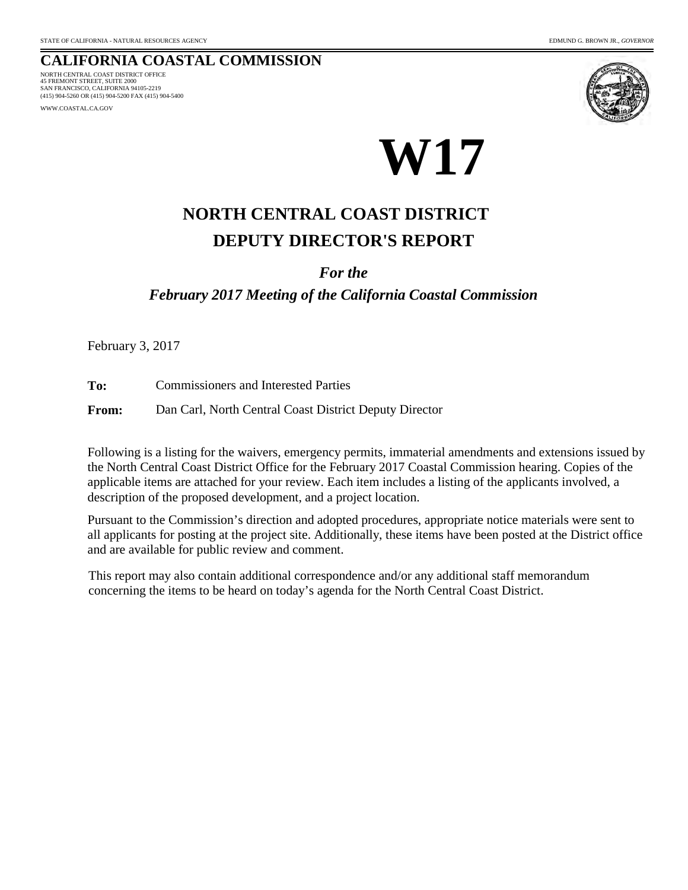#### **CALIFORNIA COASTAL COMMISSION** 45 FREMONT STREET, SUITE 2000 NORTH CENTRAL COAST DISTRICT OFFICE

SAN FRANCISCO, CALIFORNIA 94105-2219 (415) 904-5260 OR (415) 904-5200 FAX (415) 904-5400

WWW.COASTAL.CA.GOV





# **DEPUTY DIRECTOR'S REPORT NORTH CENTRAL COAST DISTRICT**

### *For the*

*February 2017 Meeting of the California Coastal Commission*

February 3, 2017

**To:** Commissioners and Interested Parties

**From:** Dan Carl, North Central Coast District Deputy Director

Following is a listing for the waivers, emergency permits, immaterial amendments and extensions issued by the North Central Coast District Office for the February 2017 Coastal Commission hearing. Copies of the applicable items are attached for your review. Each item includes a listing of the applicants involved, a description of the proposed development, and a project location.

Pursuant to the Commission's direction and adopted procedures, appropriate notice materials were sent to all applicants for posting at the project site. Additionally, these items have been posted at the District office and are available for public review and comment.

This report may also contain additional correspondence and/or any additional staff memorandum concerning the items to be heard on today's agenda for the North Central Coast District.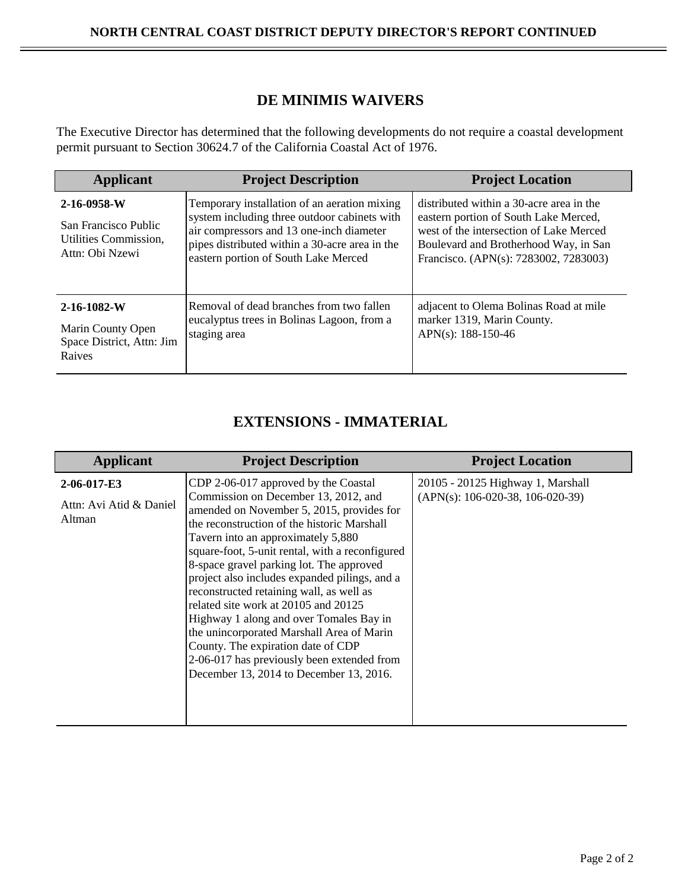### **DE MINIMIS WAIVERS**

The Executive Director has determined that the following developments do not require a coastal development permit pursuant to Section 30624.7 of the California Coastal Act of 1976.

| <b>Applicant</b>                                                                | <b>Project Description</b>                                                                                                                                                                                                         | <b>Project Location</b>                                                                                                                                                                                        |
|---------------------------------------------------------------------------------|------------------------------------------------------------------------------------------------------------------------------------------------------------------------------------------------------------------------------------|----------------------------------------------------------------------------------------------------------------------------------------------------------------------------------------------------------------|
| 2-16-0958-W<br>San Francisco Public<br>Utilities Commission.<br>Attn: Obi Nzewi | Temporary installation of an aeration mixing<br>system including three outdoor cabinets with<br>air compressors and 13 one-inch diameter<br>pipes distributed within a 30-acre area in the<br>eastern portion of South Lake Merced | distributed within a 30-acre area in the<br>eastern portion of South Lake Merced,<br>west of the intersection of Lake Merced<br>Boulevard and Brotherhood Way, in San<br>Francisco. (APN(s): 7283002, 7283003) |
| $2 - 16 - 1082 - W$<br>Marin County Open<br>Space District, Attn: Jim<br>Raives | Removal of dead branches from two fallen<br>eucalyptus trees in Bolinas Lagoon, from a<br>staging area                                                                                                                             | adjacent to Olema Bolinas Road at mile<br>marker 1319, Marin County.<br>APN(s): $188-150-46$                                                                                                                   |

## **EXTENSIONS - IMMATERIAL**

| <b>Applicant</b>                                 | <b>Project Description</b>                                                                                                                                                                                                                                                                                                                                                                                                                                                                                                                                                                                                                                                | <b>Project Location</b>                                                 |
|--------------------------------------------------|---------------------------------------------------------------------------------------------------------------------------------------------------------------------------------------------------------------------------------------------------------------------------------------------------------------------------------------------------------------------------------------------------------------------------------------------------------------------------------------------------------------------------------------------------------------------------------------------------------------------------------------------------------------------------|-------------------------------------------------------------------------|
| 2-06-017-E3<br>Attn: Avi Atid & Daniel<br>Altman | CDP 2-06-017 approved by the Coastal<br>Commission on December 13, 2012, and<br>amended on November 5, 2015, provides for<br>the reconstruction of the historic Marshall<br>Tavern into an approximately 5,880<br>square-foot, 5-unit rental, with a reconfigured<br>8-space gravel parking lot. The approved<br>project also includes expanded pilings, and a<br>reconstructed retaining wall, as well as<br>related site work at 20105 and 20125<br>Highway 1 along and over Tomales Bay in<br>the unincorporated Marshall Area of Marin<br>County. The expiration date of CDP<br>2-06-017 has previously been extended from<br>December 13, 2014 to December 13, 2016. | 20105 - 20125 Highway 1, Marshall<br>$(APN(s): 106-020-38, 106-020-39)$ |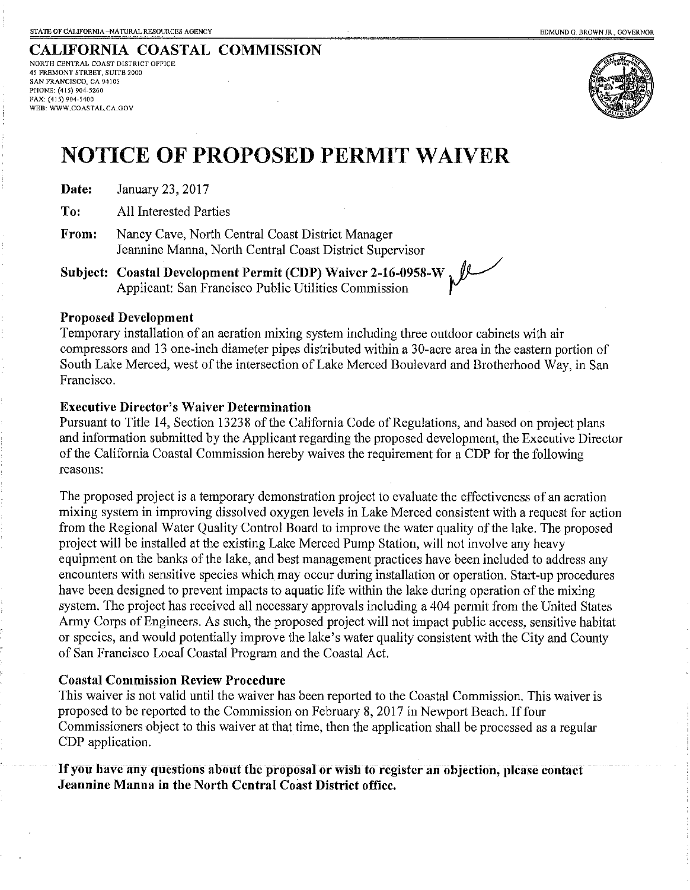WEB: WWW.COASTAL.CA.GOV

#### CALIFORNIA COASTAL COMMISSION NORTH CENTRAL COAST DISTRICT OFFICE 45 FREMONT STREET, SUITE 2000 SAN FRANCISCO, CA 94105 PHONE: (415) 904-5260 FAX: (415) 904-5400



# **NOTICE OF PROPOSED PERMIT WAIVER**

| January 23, 2017<br>Date: |  |
|---------------------------|--|
|---------------------------|--|

To: **All Interested Parties** 

From: Nancy Cave, North Central Coast District Manager Jeannine Manna, North Central Coast District Supervisor

Subject: Coastal Development Permit (CDP) Waiver 2-16-0958-W<br>Applicant: San Francisco Public Utilities Commission

### **Proposed Development**

Temporary installation of an aeration mixing system including three outdoor cabinets with air compressors and 13 one-inch diameter pipes distributed within a 30-acre area in the eastern portion of South Lake Merced, west of the intersection of Lake Merced Boulevard and Brotherhood Way, in San Francisco.

### **Executive Director's Waiver Determination**

Pursuant to Title 14, Section 13238 of the California Code of Regulations, and based on project plans and information submitted by the Applicant regarding the proposed development, the Executive Director of the California Coastal Commission hereby waives the requirement for a CDP for the following reasons:

The proposed project is a temporary demonstration project to evaluate the effectiveness of an aeration mixing system in improving dissolved oxygen levels in Lake Merced consistent with a request for action from the Regional Water Quality Control Board to improve the water quality of the lake. The proposed project will be installed at the existing Lake Merced Pump Station, will not involve any heavy equipment on the banks of the lake, and best management practices have been included to address any encounters with sensitive species which may occur during installation or operation. Start-up procedures have been designed to prevent impacts to aquatic life within the lake during operation of the mixing system. The project has received all necessary approvals including a 404 permit from the United States Army Corps of Engineers. As such, the proposed project will not impact public access, sensitive habitat or species, and would potentially improve the lake's water quality consistent with the City and County of San Francisco Local Coastal Program and the Coastal Act.

### **Coastal Commission Review Procedure**

This waiver is not valid until the waiver has been reported to the Coastal Commission. This waiver is proposed to be reported to the Commission on February 8, 2017 in Newport Beach. If four Commissioners object to this waiver at that time, then the application shall be processed as a regular CDP application.

If you have any questions about the proposal or wish to register an objection, please contact Jeannine Manna in the North Central Coast District office.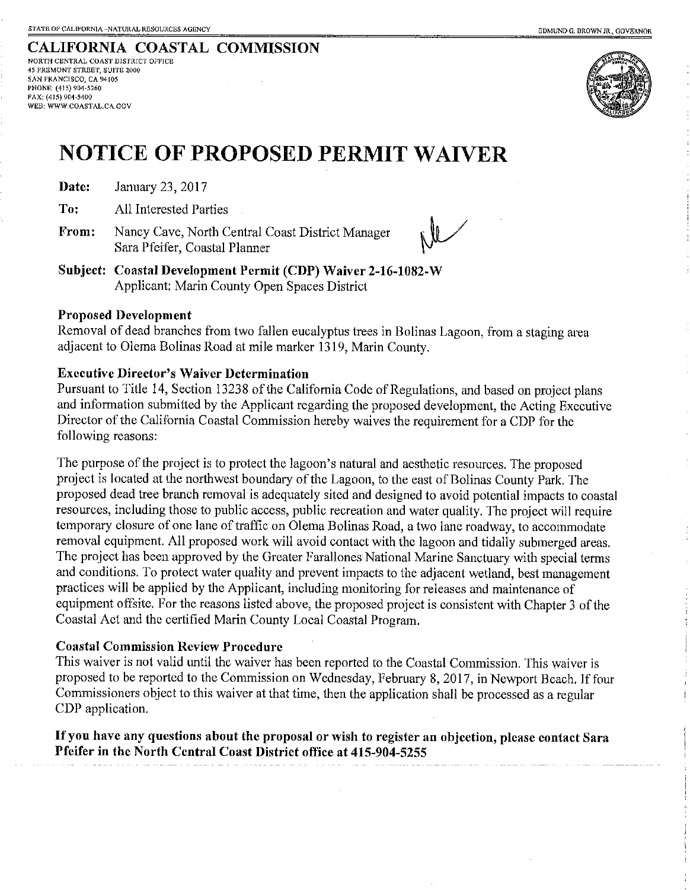**CALIFORNIA COASTAL COMMISSION** NORTH CENTRAL COAST DISTRICT OFFICE 45 FREMONT STREET SUITE 2000 SAN FRANCISCO, CA 94105 PHONE: (415) 904-5260 FAX: (415) 904-5400 WEB: WWW.COASTAL.CA.GOV



## **NOTICE OF PROPOSED PERMIT WAIVER**

Date: January 23, 2017

To: **All Interested Parties** 

From: Nancy Cave, North Central Coast District Manager Sara Pfeifer, Coastal Planner

Subject: Coastal Development Permit (CDP) Waiver 2-16-1082-W Applicant: Marin County Open Spaces District

### **Proposed Development**

Removal of dead branches from two fallen eucalyptus trees in Bolinas Lagoon, from a staging area adjacent to Olema Bolinas Road at mile marker 1319, Marin County,

### **Executive Director's Waiver Determination**

Pursuant to Title 14, Section 13238 of the California Code of Regulations, and based on project plans and information submitted by the Applicant regarding the proposed development, the Acting Executive Director of the California Coastal Commission hereby waives the requirement for a CDP for the following reasons:

The purpose of the project is to protect the lagoon's natural and aesthetic resources. The proposed project is located at the northwest boundary of the Lagoon, to the east of Bolinas County Park. The proposed dead tree branch removal is adequately sited and designed to avoid potential impacts to coastal resources, including those to public access, public recreation and water quality. The project will require temporary closure of one lane of traffic on Olema Bolinas Road, a two lane roadway, to accommodate removal equipment. All proposed work will avoid contact with the lagoon and tidally submerged areas. The project has been approved by the Greater Farallones National Marine Sanctuary with special terms and conditions. To protect water quality and prevent impacts to the adjacent wetland, best management practices will be applied by the Applicant, including monitoring for releases and maintenance of equipment offsite. For the reasons listed above, the proposed project is consistent with Chapter 3 of the Coastal Act and the certified Marin County Local Coastal Program.

### **Coastal Commission Review Procedure**

This waiver is not valid until the waiver has been reported to the Coastal Commission. This waiver is proposed to be reported to the Commission on Wednesday, February 8, 2017, in Newport Beach. If four Commissioners object to this waiver at that time, then the application shall be processed as a regular CDP application.

If you have any questions about the proposal or wish to register an objection, please contact Sara Pfeifer in the North Central Coast District office at 415-904-5255